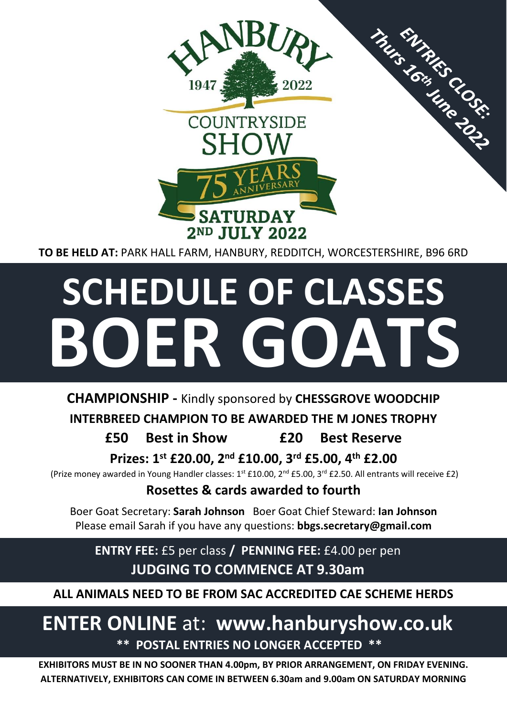

**TO BE HELD AT:** PARK HALL FARM, HANBURY, REDDITCH, WORCESTERSHIRE, B96 6RD

# **SCHEDULE OF CLASSES BOER GOATS**

# **CHAMPIONSHIP -** Kindly sponsored by **CHESSGROVE WOODCHIP**

# **INTERBREED CHAMPION TO BE AWARDED THE M JONES TROPHY**

# **£50 Best in Show £20 Best Reserve**

**Prizes: 1st £20.00, 2nd £10.00, 3rd £5.00, 4th £2.00**

(Prize money awarded in Young Handler classes:  $1^{st}$  £10.00, 2<sup>nd</sup> £5.00, 3<sup>rd</sup> £2.50. All entrants will receive £2)

# **Rosettes & cards awarded to fourth**

Boer Goat Secretary: **Sarah Johnson** Boer Goat Chief Steward: **Ian Johnson** Please email Sarah if you have any questions: **bbgs.secretary@gmail.com**

**ENTRY FEE:** £5 per class **/ PENNING FEE:** £4.00 per pen **JUDGING TO COMMENCE AT 9.30am**

**ALL ANIMALS NEED TO BE FROM SAC ACCREDITED CAE SCHEME HERDS** 

# **ENTER ONLINE** at: **www.hanburyshow.co.uk \*\* POSTAL ENTRIES NO LONGER ACCEPTED \*\***

**EXHIBITORS MUST BE IN NO SOONER THAN 4.00pm, BY PRIOR ARRANGEMENT, ON FRIDAY EVENING. ALTERNATIVELY, EXHIBITORS CAN COME IN BETWEEN 6.30am and 9.00am ON SATURDAY MORNING**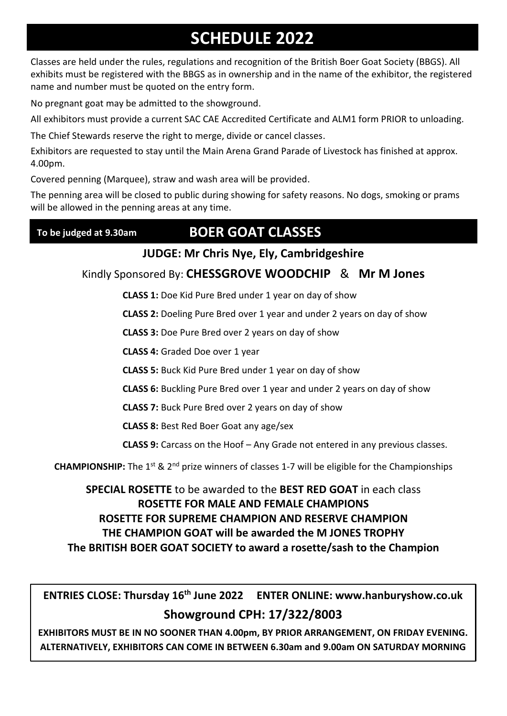# **SCHEDULE 2022**

Classes are held under the rules, regulations and recognition of the British Boer Goat Society (BBGS). All exhibits must be registered with the BBGS as in ownership and in the name of the exhibitor, the registered name and number must be quoted on the entry form.

No pregnant goat may be admitted to the showground.

All exhibitors must provide a current SAC CAE Accredited Certificate and ALM1 form PRIOR to unloading.

The Chief Stewards reserve the right to merge, divide or cancel classes.

Exhibitors are requested to stay until the Main Arena Grand Parade of Livestock has finished at approx. 4.00pm.

Covered penning (Marquee), straw and wash area will be provided.

The penning area will be closed to public during showing for safety reasons. No dogs, smoking or prams will be allowed in the penning areas at any time.

#### **To be judged at 9.30am**

# **BOER GOAT CLASSES**

### **JUDGE: Mr Chris Nye, Ely, Cambridgeshire**

Kindly Sponsored By: **CHESSGROVE WOODCHIP** & **Mr M Jones**

**CLASS 1:** Doe Kid Pure Bred under 1 year on day of show

**CLASS 2:** Doeling Pure Bred over 1 year and under 2 years on day of show

**CLASS 3:** Doe Pure Bred over 2 years on day of show

**CLASS 4:** Graded Doe over 1 year

**CLASS 5:** Buck Kid Pure Bred under 1 year on day of show

**CLASS 6:** Buckling Pure Bred over 1 year and under 2 years on day of show

**CLASS 7:** Buck Pure Bred over 2 years on day of show

**CLASS 8:** Best Red Boer Goat any age/sex

**CLASS 9:** Carcass on the Hoof – Any Grade not entered in any previous classes.

**CHAMPIONSHIP:** The 1<sup>st</sup> & 2<sup>nd</sup> prize winners of classes 1-7 will be eligible for the Championships

**SPECIAL ROSETTE** to be awarded to the **BEST RED GOAT** in each class **ROSETTE FOR MALE AND FEMALE CHAMPIONS ROSETTE FOR SUPREME CHAMPION AND RESERVE CHAMPION THE CHAMPION GOAT will be awarded the M JONES TROPHY The BRITISH BOER GOAT SOCIETY to award a rosette/sash to the Champion**

**ENTRIES CLOSE: Thursday 16th June 2022 ENTER ONLINE: www.hanburyshow.co.uk Showground CPH: 17/322/8003**

**EXHIBITORS MUST BE IN NO SOONER THAN 4.00pm, BY PRIOR ARRANGEMENT, ON FRIDAY EVENING. ALTERNATIVELY, EXHIBITORS CAN COME IN BETWEEN 6.30am and 9.00am ON SATURDAY MORNING**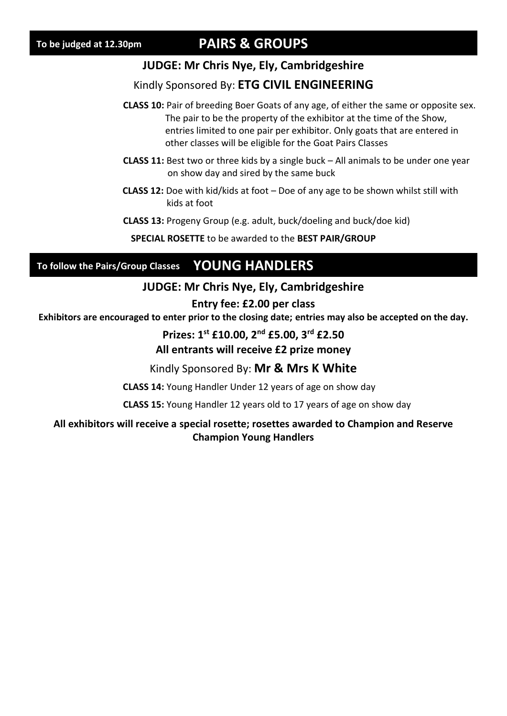# **PAIRS & GROUPS**

#### **JUDGE: Mr Chris Nye, Ely, Cambridgeshire**

#### Kindly Sponsored By: **ETG CIVIL ENGINEERING**

- **CLASS 10:** Pair of breeding Boer Goats of any age, of either the same or opposite sex. The pair to be the property of the exhibitor at the time of the Show, entries limited to one pair per exhibitor. Only goats that are entered in other classes will be eligible for the Goat Pairs Classes
- **CLASS 11:** Best two or three kids by a single buck All animals to be under one year on show day and sired by the same buck
- **CLASS 12:** Doe with kid/kids at foot Doe of any age to be shown whilst still with kids at foot
- **CLASS 13:** Progeny Group (e.g. adult, buck/doeling and buck/doe kid)

**SPECIAL ROSETTE** to be awarded to the **BEST PAIR/GROUP**

#### **YOUNG HANDLERS To follow the Pairs/Group Classes**

#### **JUDGE: Mr Chris Nye, Ely, Cambridgeshire**

#### **Entry fee: £2.00 per class**

**Exhibitors are encouraged to enter prior to the closing date; entries may also be accepted on the day.**

**Prizes: 1st £10.00, 2nd £5.00, 3rd £2.50**

#### **All entrants will receive £2 prize money**

Kindly Sponsored By: **Mr & Mrs K White**

**CLASS 14:** Young Handler Under 12 years of age on show day

**CLASS 15:** Young Handler 12 years old to 17 years of age on show day

#### **All exhibitors will receive a special rosette; rosettes awarded to Champion and Reserve Champion Young Handlers**